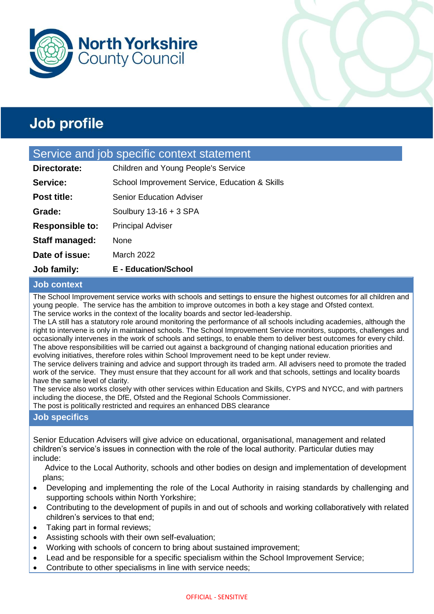



#### Service and job specific context statement

| Job family:            | <b>E</b> - Education/School                    |
|------------------------|------------------------------------------------|
| Date of issue:         | March 2022                                     |
| Staff managed:         | None                                           |
| <b>Responsible to:</b> | <b>Principal Adviser</b>                       |
| Grade:                 | Soulbury $13-16 + 3$ SPA                       |
| <b>Post title:</b>     | <b>Senior Education Adviser</b>                |
| Service:               | School Improvement Service, Education & Skills |
| Directorate:           | Children and Young People's Service            |

#### **Job context**

The School Improvement service works with schools and settings to ensure the highest outcomes for all children and young people. The service has the ambition to improve outcomes in both a key stage and Ofsted context. The service works in the context of the locality boards and sector led-leadership.

The LA still has a statutory role around monitoring the performance of all schools including academies, although the right to intervene is only in maintained schools. The School Improvement Service monitors, supports, challenges and occasionally intervenes in the work of schools and settings, to enable them to deliver best outcomes for every child. The above responsibilities will be carried out against a background of changing national education priorities and evolving initiatives, therefore roles within School Improvement need to be kept under review.

The service delivers training and advice and support through its traded arm. All advisers need to promote the traded work of the service. They must ensure that they account for all work and that schools, settings and locality boards have the same level of clarity.

The service also works closely with other services within Education and Skills, CYPS and NYCC, and with partners including the diocese, the DfE, Ofsted and the Regional Schools Commissioner. The post is politically restricted and requires an enhanced DBS clearance

#### **Job specifics**

Senior Education Advisers will give advice on educational, organisational, management and related children's service's issues in connection with the role of the local authority. Particular duties may include:

Advice to the Local Authority, schools and other bodies on design and implementation of development plans;

- Developing and implementing the role of the Local Authority in raising standards by challenging and supporting schools within North Yorkshire;
- Contributing to the development of pupils in and out of schools and working collaboratively with related children's services to that end;
- Taking part in formal reviews;
- Assisting schools with their own self-evaluation;
- Working with schools of concern to bring about sustained improvement;
- Lead and be responsible for a specific specialism within the School Improvement Service;
- Contribute to other specialisms in line with service needs;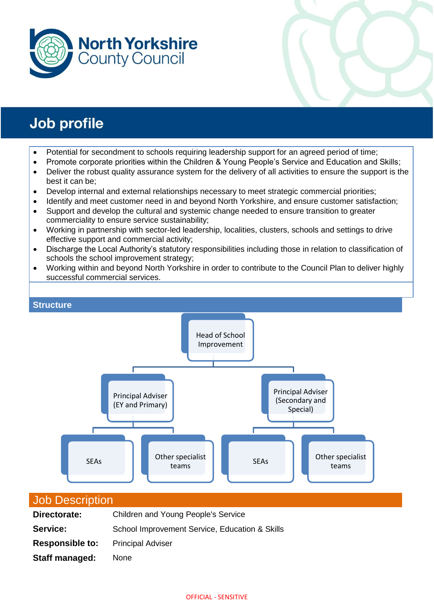



- Potential for secondment to schools requiring leadership support for an agreed period of time;
- Promote corporate priorities within the Children & Young People's Service and Education and Skills;
- Deliver the robust quality assurance system for the delivery of all activities to ensure the support is the best it can be;
- Develop internal and external relationships necessary to meet strategic commercial priorities;
- Identify and meet customer need in and beyond North Yorkshire, and ensure customer satisfaction;
- Support and develop the cultural and systemic change needed to ensure transition to greater commerciality to ensure service sustainability;
- Working in partnership with sector-led leadership, localities, clusters, schools and settings to drive effective support and commercial activity;
- Discharge the Local Authority's statutory responsibilities including those in relation to classification of schools the school improvement strategy;
- Working within and beyond North Yorkshire in order to contribute to the Council Plan to deliver highly successful commercial services.



#### Job Description

| Directorate:           | Children and Young People's Service            |  |  |
|------------------------|------------------------------------------------|--|--|
| Service:               | School Improvement Service, Education & Skills |  |  |
| <b>Responsible to:</b> | <b>Principal Adviser</b>                       |  |  |
| Staff managed:         | None                                           |  |  |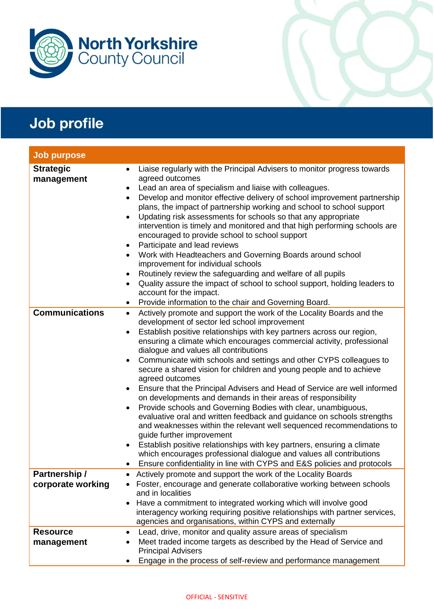

| <b>Job purpose</b>                 |                                                                                                                                                                                                                                                                                                                                                                                                                                                                                                                                                                                                                                                                                                                                                                                                                                                                                                                                                                                                                                                                                                                                                               |
|------------------------------------|---------------------------------------------------------------------------------------------------------------------------------------------------------------------------------------------------------------------------------------------------------------------------------------------------------------------------------------------------------------------------------------------------------------------------------------------------------------------------------------------------------------------------------------------------------------------------------------------------------------------------------------------------------------------------------------------------------------------------------------------------------------------------------------------------------------------------------------------------------------------------------------------------------------------------------------------------------------------------------------------------------------------------------------------------------------------------------------------------------------------------------------------------------------|
| <b>Strategic</b><br>management     | Liaise regularly with the Principal Advisers to monitor progress towards<br>$\bullet$<br>agreed outcomes<br>Lead an area of specialism and liaise with colleagues.<br>٠<br>Develop and monitor effective delivery of school improvement partnership<br>$\bullet$<br>plans, the impact of partnership working and school to school support<br>Updating risk assessments for schools so that any appropriate<br>$\bullet$<br>intervention is timely and monitored and that high performing schools are<br>encouraged to provide school to school support<br>Participate and lead reviews<br>٠<br>Work with Headteachers and Governing Boards around school<br>$\bullet$<br>improvement for individual schools<br>Routinely review the safeguarding and welfare of all pupils<br>$\bullet$<br>Quality assure the impact of school to school support, holding leaders to<br>$\bullet$<br>account for the impact.<br>Provide information to the chair and Governing Board.                                                                                                                                                                                         |
| <b>Communications</b>              | Actively promote and support the work of the Locality Boards and the<br>$\bullet$<br>development of sector led school improvement<br>Establish positive relationships with key partners across our region,<br>$\bullet$<br>ensuring a climate which encourages commercial activity, professional<br>dialogue and values all contributions<br>Communicate with schools and settings and other CYPS colleagues to<br>٠<br>secure a shared vision for children and young people and to achieve<br>agreed outcomes<br>Ensure that the Principal Advisers and Head of Service are well informed<br>٠<br>on developments and demands in their areas of responsibility<br>Provide schools and Governing Bodies with clear, unambiguous,<br>٠<br>evaluative oral and written feedback and guidance on schools strengths<br>and weaknesses within the relevant well sequenced recommendations to<br>guide further improvement<br>Establish positive relationships with key partners, ensuring a climate<br>$\bullet$<br>which encourages professional dialogue and values all contributions<br>Ensure confidentiality in line with CYPS and E&S policies and protocols |
| Partnership /<br>corporate working | Actively promote and support the work of the Locality Boards<br>$\bullet$<br>Foster, encourage and generate collaborative working between schools<br>and in localities<br>Have a commitment to integrated working which will involve good<br>$\bullet$<br>interagency working requiring positive relationships with partner services,<br>agencies and organisations, within CYPS and externally                                                                                                                                                                                                                                                                                                                                                                                                                                                                                                                                                                                                                                                                                                                                                               |
| <b>Resource</b><br>management      | Lead, drive, monitor and quality assure areas of specialism<br>٠<br>Meet traded income targets as described by the Head of Service and<br><b>Principal Advisers</b><br>Engage in the process of self-review and performance management                                                                                                                                                                                                                                                                                                                                                                                                                                                                                                                                                                                                                                                                                                                                                                                                                                                                                                                        |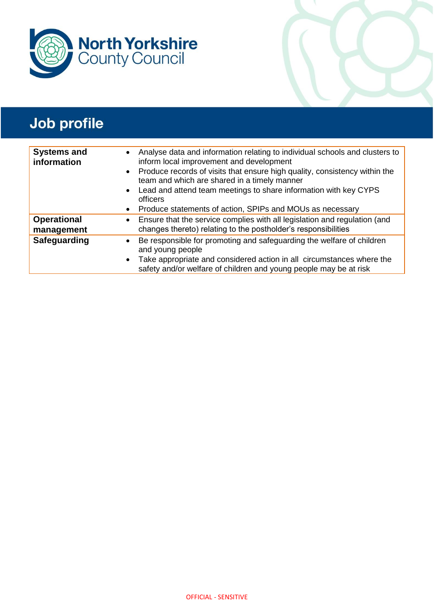

| <b>Systems and</b><br>information | Analyse data and information relating to individual schools and clusters to<br>$\bullet$<br>inform local improvement and development<br>• Produce records of visits that ensure high quality, consistency within the<br>team and which are shared in a timely manner<br>Lead and attend team meetings to share information with key CYPS<br>$\bullet$<br>officers<br>Produce statements of action, SPIPs and MOUs as necessary<br>$\bullet$ |
|-----------------------------------|---------------------------------------------------------------------------------------------------------------------------------------------------------------------------------------------------------------------------------------------------------------------------------------------------------------------------------------------------------------------------------------------------------------------------------------------|
| <b>Operational</b><br>management  | • Ensure that the service complies with all legislation and regulation (and<br>changes thereto) relating to the postholder's responsibilities                                                                                                                                                                                                                                                                                               |
| Safeguarding                      | Be responsible for promoting and safeguarding the welfare of children<br>$\bullet$<br>and young people<br>Take appropriate and considered action in all circumstances where the<br>$\bullet$<br>safety and/or welfare of children and young people may be at risk                                                                                                                                                                           |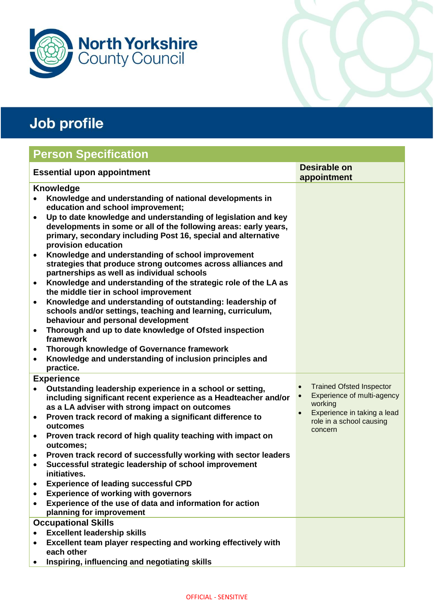

## **Person Specification**

| <b>Essential upon appointment</b> |                                                                                                                                                                                                                           | <b>Desirable on</b> |                                                                    |
|-----------------------------------|---------------------------------------------------------------------------------------------------------------------------------------------------------------------------------------------------------------------------|---------------------|--------------------------------------------------------------------|
| <b>Knowledge</b>                  |                                                                                                                                                                                                                           |                     | appointment                                                        |
|                                   | Knowledge and understanding of national developments in<br>education and school improvement;                                                                                                                              |                     |                                                                    |
| $\bullet$                         | Up to date knowledge and understanding of legislation and key<br>developments in some or all of the following areas: early years,<br>primary, secondary including Post 16, special and alternative<br>provision education |                     |                                                                    |
| $\bullet$                         | Knowledge and understanding of school improvement<br>strategies that produce strong outcomes across alliances and<br>partnerships as well as individual schools                                                           |                     |                                                                    |
| $\bullet$                         | Knowledge and understanding of the strategic role of the LA as<br>the middle tier in school improvement                                                                                                                   |                     |                                                                    |
| $\bullet$                         | Knowledge and understanding of outstanding: leadership of<br>schools and/or settings, teaching and learning, curriculum,<br>behaviour and personal development                                                            |                     |                                                                    |
| $\bullet$                         | Thorough and up to date knowledge of Ofsted inspection<br>framework                                                                                                                                                       |                     |                                                                    |
| ٠<br>$\bullet$                    | Thorough knowledge of Governance framework<br>Knowledge and understanding of inclusion principles and                                                                                                                     |                     |                                                                    |
|                                   | practice.                                                                                                                                                                                                                 |                     |                                                                    |
|                                   | <b>Experience</b>                                                                                                                                                                                                         |                     | <b>Trained Ofsted Inspector</b>                                    |
|                                   | Outstanding leadership experience in a school or setting,<br>including significant recent experience as a Headteacher and/or<br>as a LA adviser with strong impact on outcomes                                            |                     | Experience of multi-agency<br>working                              |
| $\bullet$                         | Proven track record of making a significant difference to<br>outcomes                                                                                                                                                     |                     | Experience in taking a lead<br>role in a school causing<br>concern |
| $\bullet$                         | Proven track record of high quality teaching with impact on<br>outcomes;                                                                                                                                                  |                     |                                                                    |
| $\bullet$                         | Proven track record of successfully working with sector leaders                                                                                                                                                           |                     |                                                                    |
| $\bullet$                         | Successful strategic leadership of school improvement<br>initiatives.                                                                                                                                                     |                     |                                                                    |
|                                   | <b>Experience of leading successful CPD</b>                                                                                                                                                                               |                     |                                                                    |
|                                   | <b>Experience of working with governors</b>                                                                                                                                                                               |                     |                                                                    |
|                                   | Experience of the use of data and information for action<br>planning for improvement                                                                                                                                      |                     |                                                                    |
|                                   | <b>Occupational Skills</b>                                                                                                                                                                                                |                     |                                                                    |
|                                   | <b>Excellent leadership skills</b>                                                                                                                                                                                        |                     |                                                                    |
| $\bullet$                         | Excellent team player respecting and working effectively with<br>each other                                                                                                                                               |                     |                                                                    |
|                                   | Inspiring, influencing and negotiating skills                                                                                                                                                                             |                     |                                                                    |